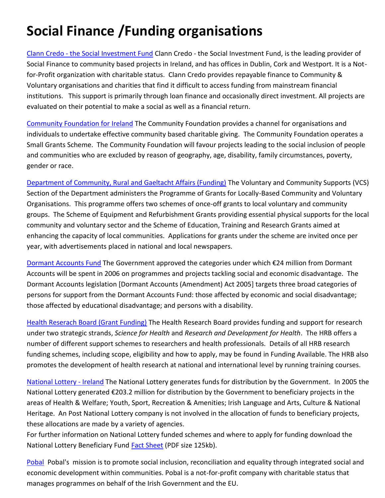## **Social Finance /Funding organisations**

Clann Credo - [the Social Investment Fund](http://www.clanncredo.ie/) Clann Credo - the Social Investment Fund, is the leading provider of Social Finance to community based projects in Ireland, and has offices in Dublin, Cork and Westport. It is a Notfor-Profit organization with charitable status. Clann Credo provides repayable finance to Community & Voluntary organisations and charities that find it difficult to access funding from mainstream financial institutions. This support is primarily through loan finance and occasionally direct investment. All projects are evaluated on their potential to make a social as well as a financial return.

[Community Foundation for Ireland](http://www.communityfoundation.ie/grants/) The Community Foundation provides a channel for organisations and individuals to undertake effective community based charitable giving. The Community Foundation operates a Small Grants Scheme. The Community Foundation will favour projects leading to the social inclusion of people and communities who are excluded by reason of geography, age, disability, family circumstances, poverty, gender or race.

[Department of Community, Rural and Gaeltacht Affairs \(Funding\)](http://www.pobail.ie/en/CommunityVoluntarySupports/) The Voluntary and Community Supports (VCS) Section of the Department administers the Programme of Grants for Locally-Based Community and Voluntary Organisations. This programme offers two schemes of once-off grants to local voluntary and community groups. The Scheme of Equipment and Refurbishment Grants providing essential physical supports for the local community and voluntary sector and the Scheme of Education, Training and Research Grants aimed at enhancing the capacity of local communities. Applications for grants under the scheme are invited once per year, with advertisements placed in national and local newspapers.

[Dormant Accounts Fund](http://www.pobal.ie/live/DAF) The Government approved the categories under which €24 million from Dormant Accounts will be spent in 2006 on programmes and projects tackling social and economic disadvantage. The Dormant Accounts legislation [Dormant Accounts (Amendment) Act 2005] targets three broad categories of persons for support from the Dormant Accounts Fund: those affected by economic and social disadvantage; those affected by educational disadvantage; and persons with a disability.

[Health Reserach Board \(Grant Funding\)](http://www.hrb.ie/display_content.php?page_id=84) The Health Research Board provides funding and support for research under two strategic strands, *Science for Health* and *Research and Development for Health*. The HRB offers a number of different support schemes to researchers and health professionals. Details of all HRB research funding schemes, including scope, eligibility and how to apply, may be found in Funding Available. The HRB also promotes the development of health research at national and international level by running training courses.

[National Lottery -](http://www.lotto.ie/infocentre/national.asp) Ireland The National Lottery generates funds for distribution by the Government. In 2005 the National Lottery generated €203.2 million for distribution by the Government to beneficiary projects in the areas of Health & Welfare; Youth, Sport, Recreation & Amenities; Irish Language and Arts, Culture & National Heritage. An Post National Lottery company is not involved in the allocation of funds to beneficiary projects, these allocations are made by a variety of agencies.

For further information on National Lottery funded schemes and where to apply for funding download the National Lottery Beneficiary Fund [Fact Sheet](http://www.lotto.ie/downloads/beneficiary_factsheet.pdf) (PDF size 125kb).

[Pobal](http://www.pobal.ie/live/smallgrants) Pobal's mission is to promote social inclusion, reconciliation and equality through integrated social and economic development within communities. Pobal is a not-for-profit company with charitable status that manages programmes on behalf of the Irish Government and the EU.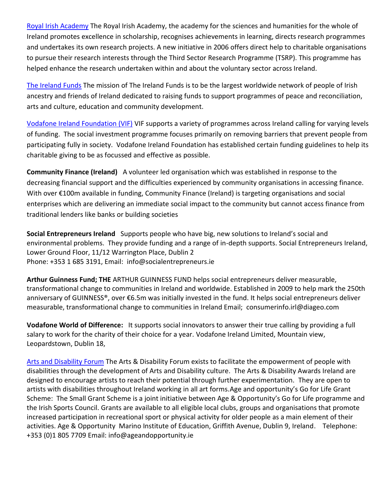[Royal Irish Academy](http://www.ria.ie/) The Royal Irish Academy, the academy for the sciences and humanities for the whole of Ireland promotes excellence in scholarship, recognises achievements in learning, directs research programmes and undertakes its own research projects. A new initiative in 2006 offers direct help to charitable organisations to pursue their research interests through the Third Sector Research Programme (TSRP). This programme has helped enhance the research undertaken within and about the voluntary sector across Ireland.

[The Ireland Funds](http://www.irlfunds.org/) The mission of The Ireland Funds is to be the largest worldwide network of people of Irish ancestry and friends of Ireland dedicated to raising funds to support programmes of peace and reconciliation, arts and culture, education and community development.

[Vodafone Ireland Foundation \(VIF\)](http://www.vodafone.ie/aboutus/csr/foundation/index.jsp) VIF supports a variety of programmes across Ireland calling for varying levels of funding. The social investment programme focuses primarily on removing barriers that prevent people from participating fully in society. Vodafone Ireland Foundation has established certain funding guidelines to help its charitable giving to be as focussed and effective as possible.

**Community Finance (Ireland)** A volunteer led organisation which was established in response to the decreasing financial support and the difficulties experienced by community organisations in accessing finance. With over €100m available in funding, Community Finance (Ireland) is targeting organisations and social enterprises which are delivering an immediate social impact to the community but cannot access finance from traditional lenders like banks or building societies

**Social Entrepreneurs Ireland** Supports people who have big, new solutions to Ireland's social and environmental problems. They provide funding and a range of in-depth supports. Social Entrepreneurs Ireland, Lower Ground Floor, 11/12 Warrington Place, Dublin 2 Phone: +353 1 685 3191, Email: [info@socialentrepreneurs.ie](mailto:info@socialentrepreneurs.ie) 

**Arthur Guinness Fund; THE** ARTHUR GUINNESS FUND helps social entrepreneurs deliver measurable, transformational change to communities in Ireland and worldwide. Established in 2009 to help mark the 250th anniversary of GUINNESS®, over €6.5m was initially invested in the fund. It helps social entrepreneurs deliver measurable, transformational change to communities in Ireland Email; [consumerinfo.irl@diageo.com](mailto:consumerinfo.irl@diageo.com) 

**Vodafone World of Difference:** It supports social innovators to answer their true calling by providing a full salary to work for the charity of their choice for a year. Vodafone Ireland Limited, Mountain view, Leopardstown, Dublin 18,

[Arts and Disability Forum](http://www.adf.ie/awards.htm) The Arts & Disability Forum exists to facilitate the empowerment of people with disabilities through the development of Arts and Disability culture. The Arts & Disability Awards Ireland are designed to encourage artists to reach their potential through further experimentation. They are open to artists with disabilities throughout Ireland working in all art forms.Age and opportunity's Go for Life Grant Scheme: The Small Grant Scheme is a joint initiative between Age & Opportunity's Go for Life programme and the Irish Sports Council. Grants are available to all eligible local clubs, groups and organisations that promote increased participation in recreational sport or physical activity for older people as a main element of their activities. Age & Opportunity Marino Institute of Education, Griffith Avenue, Dublin 9, Ireland. Telephone: [+353 \(0\)1](tel:35318057709) 805 7709 Email: [info@ageandopportunity.ie](mailto:info@ageandopportunity.ie)